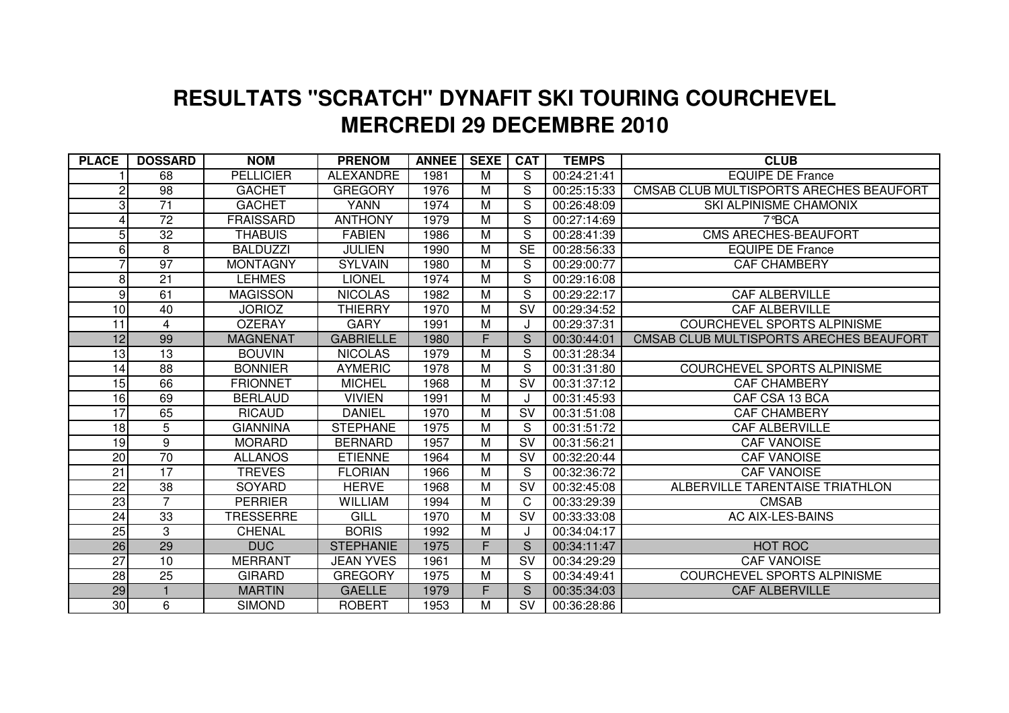## **MERCREDI 29 DECEMBRE 2010 RESULTATS "SCRATCH" DYNAFIT SKI TOURING COURCHEVEL**

| <b>PLACE</b>    | <b>DOSSARD</b>  | <b>NOM</b>       | <b>PRENOM</b>    | <b>ANNEE</b> | <b>SEXE</b>    | <b>CAT</b>                        | <b>TEMPS</b> | <b>CLUB</b>                             |
|-----------------|-----------------|------------------|------------------|--------------|----------------|-----------------------------------|--------------|-----------------------------------------|
|                 | 68              | <b>PELLICIER</b> | <b>ALEXANDRE</b> | 1981         | М              | S                                 | 00:24:21:41  | <b>EQUIPE DE France</b>                 |
| 2               | 98              | <b>GACHET</b>    | <b>GREGORY</b>   | 1976         | M              | S                                 | 00:25:15:33  | CMSAB CLUB MULTISPORTS ARECHES BEAUFORT |
| 3               | $\overline{71}$ | <b>GACHET</b>    | <b>YANN</b>      | 1974         | M              | S                                 | 00:26:48:09  | SKI ALPINISME CHAMONIX                  |
|                 | $\overline{72}$ | <b>FRAISSARD</b> | <b>ANTHONY</b>   | 1979         | M              | S                                 | 00:27:14:69  | 7°BCA                                   |
| 5               | 32              | <b>THABUIS</b>   | <b>FABIEN</b>    | 1986         | M              | S                                 | 00:28:41:39  | <b>CMS ARECHES-BEAUFORT</b>             |
| 6               | 8               | <b>BALDUZZI</b>  | <b>JULIEN</b>    | 1990         | M              | $\overline{\text{SE}}$            | 00:28:56:33  | <b>EQUIPE DE France</b>                 |
|                 | $\overline{97}$ | <b>MONTAGNY</b>  | <b>SYLVAIN</b>   | 1980         | M              | S                                 | 00:29:00:77  | <b>CAF CHAMBERY</b>                     |
| 8               | 21              | <b>LEHMES</b>    | <b>LIONEL</b>    | 1974         | М              | S                                 | 00:29:16:08  |                                         |
| 9               | 61              | <b>MAGISSON</b>  | <b>NICOLAS</b>   | 1982         | M              | S                                 | 00:29:22:17  | <b>CAF ALBERVILLE</b>                   |
| 10 <sup>1</sup> | 40              | <b>JORIOZ</b>    | <b>THIERRY</b>   | 1970         | М              | $\overline{\mathsf{S}}\mathsf{V}$ | 00:29:34:52  | <b>CAF ALBERVILLE</b>                   |
| 11              | $\overline{4}$  | <b>OZERAY</b>    | <b>GARY</b>      | 1991         | M              |                                   | 00:29:37:31  | <b>COURCHEVEL SPORTS ALPINISME</b>      |
| 12              | 99              | <b>MAGNENAT</b>  | <b>GABRIELLE</b> | 1980         | F.             | S                                 | 00:30:44:01  | CMSAB CLUB MULTISPORTS ARECHES BEAUFORT |
| 13              | 13              | <b>BOUVIN</b>    | <b>NICOLAS</b>   | 1979         | M              | S                                 | 00:31:28:34  |                                         |
| 14              | 88              | <b>BONNIER</b>   | <b>AYMERIC</b>   | 1978         | M              | S                                 | 00:31:31:80  | <b>COURCHEVEL SPORTS ALPINISME</b>      |
| 15              | 66              | <b>FRIONNET</b>  | <b>MICHEL</b>    | 1968         | M              | <b>SV</b>                         | 00:31:37:12  | <b>CAF CHAMBERY</b>                     |
| 16              | 69              | <b>BERLAUD</b>   | <b>VIVIEN</b>    | 1991         | М              |                                   | 00:31:45:93  | CAF CSA 13 BCA                          |
| 17              | 65              | <b>RICAUD</b>    | <b>DANIEL</b>    | 1970         | M              | <b>SV</b>                         | 00:31:51:08  | <b>CAF CHAMBERY</b>                     |
| 18              | $\overline{5}$  | <b>GIANNINA</b>  | <b>STEPHANE</b>  | 1975         | $\overline{M}$ | S                                 | 00:31:51:72  | <b>CAF ALBERVILLE</b>                   |
| 19              | $\overline{9}$  | <b>MORARD</b>    | <b>BERNARD</b>   | 1957         | $\overline{M}$ | $\overline{\mathsf{SV}}$          | 00:31:56:21  | <b>CAF VANOISE</b>                      |
| 20              | 70              | <b>ALLANOS</b>   | <b>ETIENNE</b>   | 1964         | М              | $\overline{\mathsf{SV}}$          | 00:32:20:44  | <b>CAF VANOISE</b>                      |
| $\overline{21}$ | $\overline{17}$ | <b>TREVES</b>    | <b>FLORIAN</b>   | 1966         | $\overline{M}$ | S                                 | 00:32:36:72  | <b>CAF VANOISE</b>                      |
| $\overline{22}$ | $\overline{38}$ | <b>SOYARD</b>    | <b>HERVE</b>     | 1968         | M              | $\overline{\mathsf{SV}}$          | 00:32:45:08  | ALBERVILLE TARENTAISE TRIATHLON         |
| 23              | $\overline{7}$  | <b>PERRIER</b>   | <b>WILLIAM</b>   | 1994         | $\overline{M}$ | C                                 | 00:33:29:39  | <b>CMSAB</b>                            |
| 24              | 33              | <b>TRESSERRE</b> | GILL             | 1970         | M              | SV                                | 00:33:33:08  | <b>AC AIX-LES-BAINS</b>                 |
| 25              | 3               | <b>CHENAL</b>    | <b>BORIS</b>     | 1992         | M              |                                   | 00:34:04:17  |                                         |
| 26              | 29              | <b>DUC</b>       | <b>STEPHANIE</b> | 1975         | F.             | S                                 | 00:34:11:47  | <b>HOT ROC</b>                          |
| $\overline{27}$ | 10              | <b>MERRANT</b>   | <b>JEAN YVES</b> | 1961         | M              | <b>SV</b>                         | 00:34:29:29  | <b>CAF VANOISE</b>                      |
| 28              | 25              | <b>GIRARD</b>    | <b>GREGORY</b>   | 1975         | M              | S                                 | 00:34:49:41  | COURCHEVEL SPORTS ALPINISME             |
| 29              |                 | <b>MARTIN</b>    | <b>GAELLE</b>    | 1979         | F.             | S                                 | 00:35:34:03  | <b>CAF ALBERVILLE</b>                   |
| 30              | 6               | <b>SIMOND</b>    | <b>ROBERT</b>    | 1953         | м              | <b>SV</b>                         | 00:36:28:86  |                                         |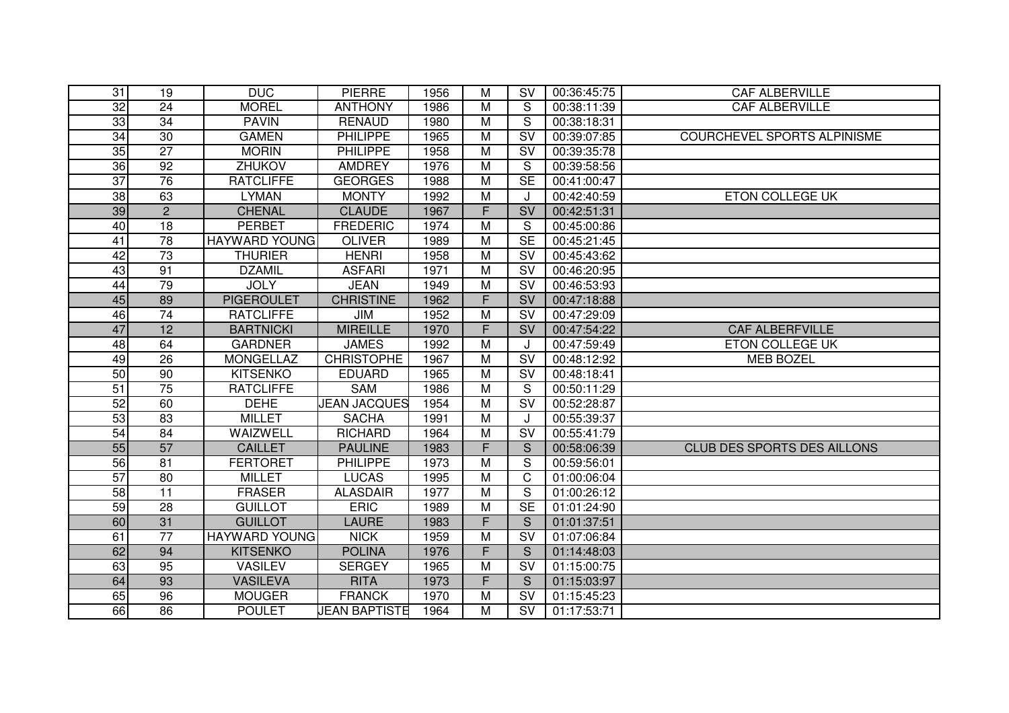| 31              | 19              | <b>DUC</b>           | <b>PIERRE</b>       | 1956 | м              | <b>SV</b>                         | 00:36:45:75 | <b>CAF ALBERVILLE</b>              |
|-----------------|-----------------|----------------------|---------------------|------|----------------|-----------------------------------|-------------|------------------------------------|
| 32              | $\overline{24}$ | <b>MOREL</b>         | <b>ANTHONY</b>      | 1986 | M              | S                                 | 00:38:11:39 | <b>CAF ALBERVILLE</b>              |
| 33              | 34              | <b>PAVIN</b>         | <b>RENAUD</b>       | 1980 | M              | S                                 | 00:38:18:31 |                                    |
| $\overline{34}$ | 30              | <b>GAMEN</b>         | <b>PHILIPPE</b>     | 1965 | M              | $\overline{\mathsf{S}}\mathsf{V}$ | 00:39:07:85 | <b>COURCHEVEL SPORTS ALPINISME</b> |
| 35              | $\overline{27}$ | <b>MORIN</b>         | <b>PHILIPPE</b>     | 1958 | M              | <b>SV</b>                         | 00:39:35:78 |                                    |
| 36              | 92              | <b>ZHUKOV</b>        | <b>AMDREY</b>       | 1976 | M              | S                                 | 00:39:58:56 |                                    |
| $\overline{37}$ | 76              | <b>RATCLIFFE</b>     | <b>GEORGES</b>      | 1988 | M              | <b>SE</b>                         | 00:41:00:47 |                                    |
| 38              | 63              | <b>LYMAN</b>         | <b>MONTY</b>        | 1992 | M              | J                                 | 00.42:40.59 | ETON COLLEGE UK                    |
| 39              | 2               | <b>CHENAL</b>        | <b>CLAUDE</b>       | 1967 | F.             | $\overline{\mathsf{S}}\mathsf{V}$ | 00:42:51:31 |                                    |
| 40              | 18              | <b>PERBET</b>        | <b>FREDERIC</b>     | 1974 | M              | S                                 | 00:45:00:86 |                                    |
| 41              | $\overline{78}$ | <b>HAYWARD YOUNG</b> | <b>OLIVER</b>       | 1989 | M              | $\overline{\text{SE}}$            | 00:45:21:45 |                                    |
| 42              | $\overline{73}$ | <b>THURIER</b>       | <b>HENRI</b>        | 1958 | M              | SV                                | 00:45:43:62 |                                    |
| 43              | 91              | <b>DZAMIL</b>        | <b>ASFARI</b>       | 1971 | M              | SV                                | 00:46:20:95 |                                    |
| 44              | 79              | <b>JOLY</b>          | <b>JEAN</b>         | 1949 | M              | <b>SV</b>                         | 00:46:53:93 |                                    |
| 45              | 89              | <b>PIGEROULET</b>    | <b>CHRISTINE</b>    | 1962 | F.             | $\overline{\mathsf{S}}\mathsf{V}$ | 00:47:18:88 |                                    |
| 46              | 74              | <b>RATCLIFFE</b>     | JIM                 | 1952 | M              | SV                                | 00:47:29:09 |                                    |
| 47              | 12              | <b>BARTNICKI</b>     | <b>MIREILLE</b>     | 1970 | F              | SV                                | 00:47:54:22 | <b>CAF ALBERFVILLE</b>             |
| 48              | 64              | <b>GARDNER</b>       | <b>JAMES</b>        | 1992 | M              | J                                 | 00:47:59:49 | ETON COLLEGE UK                    |
| 49              | 26              | <b>MONGELLAZ</b>     | <b>CHRISTOPHE</b>   | 1967 | M              | <b>SV</b>                         | 00:48:12:92 | <b>MEB BOZEL</b>                   |
| 50              | 90              | <b>KITSENKO</b>      | <b>EDUARD</b>       | 1965 | M              | <b>SV</b>                         | 00:48:18:41 |                                    |
| $\overline{51}$ | $\overline{75}$ | <b>RATCLIFFE</b>     | SAM                 | 1986 | M              | S                                 | 00:50:11:29 |                                    |
| 52              | 60              | <b>DEHE</b>          | <b>JEAN JACQUES</b> | 1954 | M              | <b>SV</b>                         | 00:52:28:87 |                                    |
| 53              | 83              | <b>MILLET</b>        | <b>SACHA</b>        | 1991 | M              | J                                 | 00:55:39:37 |                                    |
| $\overline{54}$ | 84              | <b>WAIZWELL</b>      | <b>RICHARD</b>      | 1964 | $\overline{M}$ | $\overline{\mathsf{sv}}$          | 00:55:41:79 |                                    |
| 55              | 57              | <b>CAILLET</b>       | <b>PAULINE</b>      | 1983 | F.             | S                                 | 00:58:06:39 | <b>CLUB DES SPORTS DES AILLONS</b> |
| 56              | 81              | <b>FERTORET</b>      | <b>PHILIPPE</b>     | 1973 | M              | S                                 | 00:59:56:01 |                                    |
| 57              | 80              | <b>MILLET</b>        | <b>LUCAS</b>        | 1995 | M              | C                                 | 01:00:06:04 |                                    |
| $\overline{58}$ | $\overline{11}$ | <b>FRASER</b>        | <b>ALASDAIR</b>     | 1977 | M              | S                                 | 01:00:26:12 |                                    |
| 59              | 28              | <b>GUILLOT</b>       | <b>ERIC</b>         | 1989 | $\overline{M}$ | SE                                | 01:01:24:90 |                                    |
| 60              | 31              | <b>GUILLOT</b>       | <b>LAURE</b>        | 1983 | F.             | S                                 | 01:01:37:51 |                                    |
| 61              | 77              | <b>HAYWARD YOUNG</b> | <b>NICK</b>         | 1959 | M              | $\overline{\mathsf{S}}\mathsf{V}$ | 01:07:06:84 |                                    |
| 62              | 94              | <b>KITSENKO</b>      | <b>POLINA</b>       | 1976 | F.             | S                                 | 01:14:48:03 |                                    |
| 63              | 95              | <b>VASILEV</b>       | <b>SERGEY</b>       | 1965 | M              | $\overline{\mathsf{SV}}$          | 01:15:00:75 |                                    |
| 64              | 93              | <b>VASILEVA</b>      | <b>RITA</b>         | 1973 | F.             | <sub>S</sub>                      | 01:15:03:97 |                                    |
| 65              | 96              | <b>MOUGER</b>        | <b>FRANCK</b>       | 1970 | Μ              | <b>SV</b>                         | 01:15:45:23 |                                    |
| 66              | 86              | <b>POULET</b>        | JEAN BAPTISTE       | 1964 | М              | <b>SV</b>                         | 01:17:53:71 |                                    |